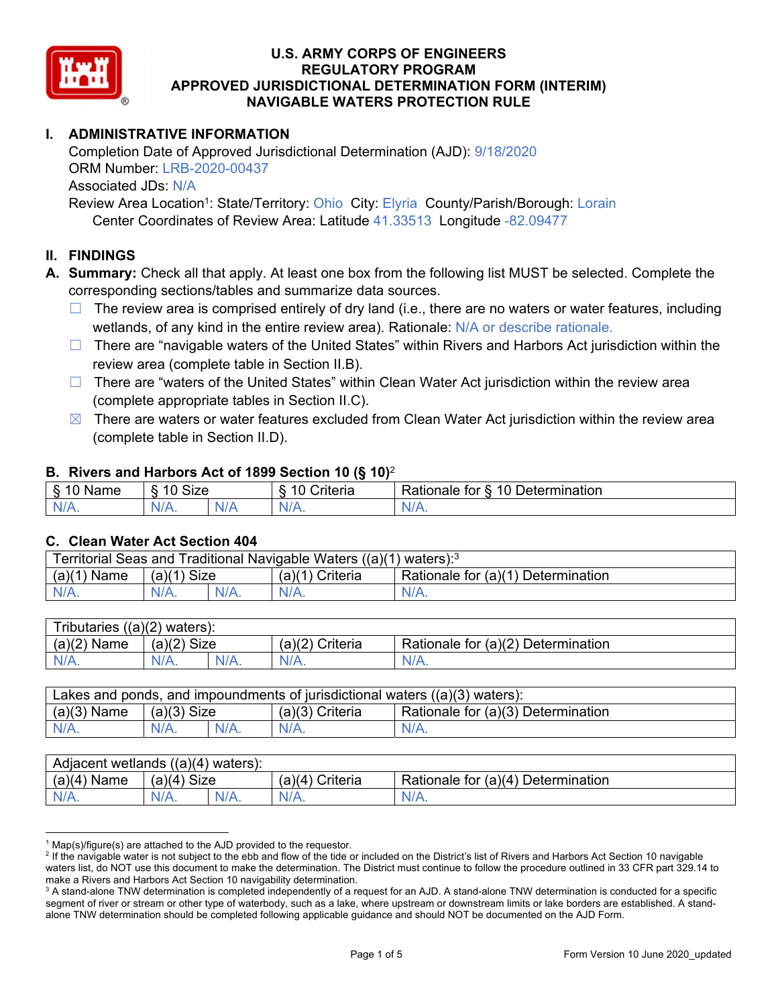

# **I. ADMINISTRATIVE INFORMATION**

Completion Date of Approved Jurisdictional Determination (AJD): 9/18/2020 ORM Number: LRB-2020-00437 Associated JDs: N/A Review Area Location<sup>1</sup>: State/Territory: Ohio City: Elyria County/Parish/Borough: Lorain

Center Coordinates of Review Area: Latitude 41.33513 Longitude -82.09477

# **II. FINDINGS**

**A. Summary:** Check all that apply. At least one box from the following list MUST be selected. Complete the corresponding sections/tables and summarize data sources.

- $\Box$  The review area is comprised entirely of dry land (i.e., there are no waters or water features, including wetlands, of any kind in the entire review area). Rationale: N/A or describe rationale.
- $\Box$  There are "navigable waters of the United States" within Rivers and Harbors Act jurisdiction within the review area (complete table in Section II.B).
- $\Box$  There are "waters of the United States" within Clean Water Act jurisdiction within the review area (complete appropriate tables in Section II.C).
- $\boxtimes$  There are waters or water features excluded from Clean Water Act jurisdiction within the review area (complete table in Section II.D).

#### **B. Rivers and Harbors Act of 1899 Section 10 (§ 10)**<sup>2</sup>

| $\cdot$                                         |                        |     |                                                          |                                                |  |  |  |  |  |
|-------------------------------------------------|------------------------|-----|----------------------------------------------------------|------------------------------------------------|--|--|--|--|--|
| $\mathbf{r}$<br>$\sim$<br>ше<br>'Nar<br>ι.<br>ູ | Size<br>$\overline{A}$ |     | $\overline{A}$ $\overline{C}$<br>$"$ ritaria<br>ena<br>. | 10<br><b>Determination</b><br>⊀atıonale<br>tor |  |  |  |  |  |
| N/L<br>.                                        | 7 V<br>'V/A.           | N/A | N/t<br>17. TV                                            | 111<br>N<br>11 I N.                            |  |  |  |  |  |

#### **C. Clean Water Act Section 404**

| Territorial Seas and Traditional Navigable Waters $((a)(1)$ waters): <sup>3</sup> |                |  |                       |                                    |  |  |  |
|-----------------------------------------------------------------------------------|----------------|--|-----------------------|------------------------------------|--|--|--|
| (a)(1)<br>Name                                                                    | Size<br>(a)(1) |  | (a)(1)<br>') Criteria | Rationale for (a)(1) Determination |  |  |  |
| $N/A$ .                                                                           | $N/A$ .        |  | N/A.                  | $N/A$ .                            |  |  |  |

| Tributaries,<br>$((a)(2)$ waters): |                |      |                    |                                    |  |  |  |
|------------------------------------|----------------|------|--------------------|------------------------------------|--|--|--|
| (a)(2)<br>Name                     | Size<br>(a)(2) |      | (a)(2)<br>Criteria | Rationale for (a)(2) Determination |  |  |  |
| $N/A$ .                            | $N/A$ .        | N/A. | $N/A$ .            | N/A.                               |  |  |  |

| Lakes and ponds, and impoundments of jurisdictional waters $((a)(3)$ waters): |               |  |                   |                                    |  |  |
|-------------------------------------------------------------------------------|---------------|--|-------------------|------------------------------------|--|--|
| $(a)(3)$ Name                                                                 | $(a)(3)$ Size |  | $(a)(3)$ Criteria | Rationale for (a)(3) Determination |  |  |
| $N/A$ .                                                                       | $N/A$ .       |  | $N/A$ .           | $N/A$ .                            |  |  |

| Adjacent wetlands<br>((a)(4)<br>waters). |                       |      |                   |                                    |  |  |  |
|------------------------------------------|-----------------------|------|-------------------|------------------------------------|--|--|--|
| (a)(4)<br>Name                           | <b>Size</b><br>(a)(4) |      | (a)(4<br>Criteria | Rationale for (a)(4) Determination |  |  |  |
| N/A.                                     | $N/A$ .               | N/A. | $N/A$ .           | $N/A$ .                            |  |  |  |

<sup>&</sup>lt;sup>1</sup> Map(s)/figure(s) are attached to the AJD provided to the requestor.<br><sup>2</sup> If the navigable water is not subject to the ebb and flow of the tide o

<sup>&</sup>lt;sup>2</sup> If the navigable water is not subject to the ebb and flow of the tide or included on the District's list of Rivers and Harbors Act Section 10 navigable waters list, do NOT use this document to make the determination. The District must continue to follow the procedure outlined in 33 CFR part 329.14 to make a Rivers and Harbors Act Section 10 navigability determination.

 $^3$  A stand-alone TNW determination is completed independently of a request for an AJD. A stand-alone TNW determination is conducted for a specific segment of river or stream or other type of waterbody, such as a lake, where upstream or downstream limits or lake borders are established. A standalone TNW determination should be completed following applicable guidance and should NOT be documented on the AJD Form.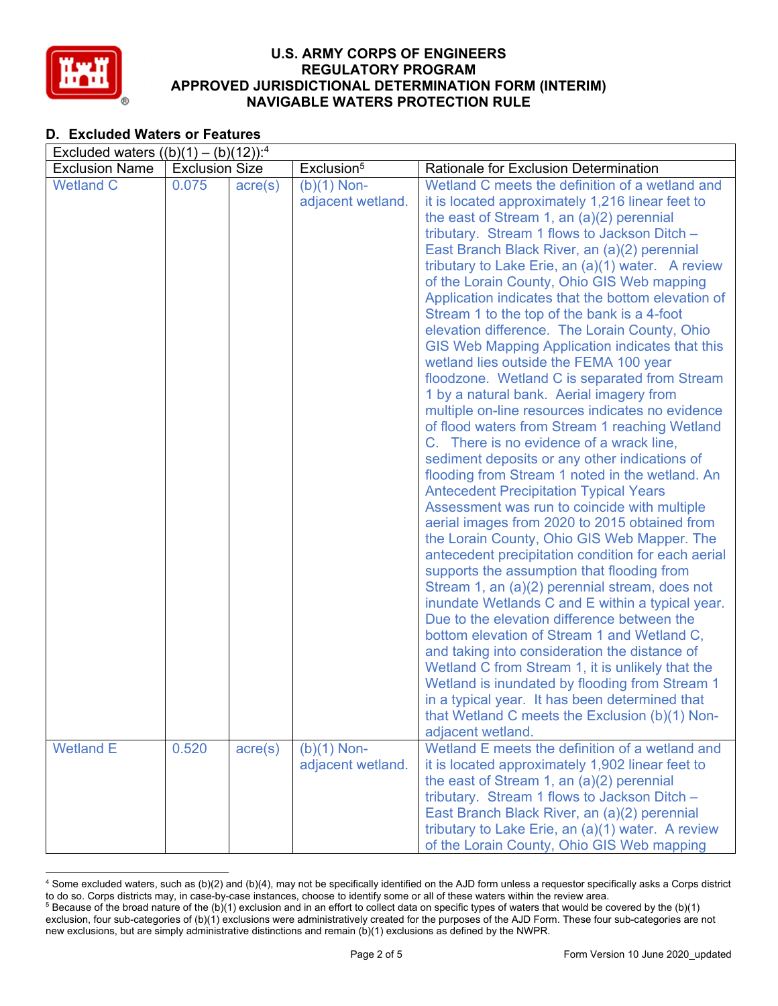

# **D. Excluded Waters or Features**

| Excluded waters $((b)(1) - (b)(12))$ : <sup>4</sup> |                       |                  |                                    |                                                                                                                                                                                                                                                                                                                                                                                                                                                                                                                                                                                                                                                                                                                                                                                                                                                                                                                                                                                                                                                                                                                                                                                                                                                                                                                                                                                                                                                                                                                                                                                                                             |  |  |  |  |  |
|-----------------------------------------------------|-----------------------|------------------|------------------------------------|-----------------------------------------------------------------------------------------------------------------------------------------------------------------------------------------------------------------------------------------------------------------------------------------------------------------------------------------------------------------------------------------------------------------------------------------------------------------------------------------------------------------------------------------------------------------------------------------------------------------------------------------------------------------------------------------------------------------------------------------------------------------------------------------------------------------------------------------------------------------------------------------------------------------------------------------------------------------------------------------------------------------------------------------------------------------------------------------------------------------------------------------------------------------------------------------------------------------------------------------------------------------------------------------------------------------------------------------------------------------------------------------------------------------------------------------------------------------------------------------------------------------------------------------------------------------------------------------------------------------------------|--|--|--|--|--|
| <b>Exclusion Name</b>                               | <b>Exclusion Size</b> |                  | Exclusion <sup>5</sup>             | <b>Rationale for Exclusion Determination</b>                                                                                                                                                                                                                                                                                                                                                                                                                                                                                                                                                                                                                                                                                                                                                                                                                                                                                                                                                                                                                                                                                                                                                                                                                                                                                                                                                                                                                                                                                                                                                                                |  |  |  |  |  |
| <b>Wetland C</b>                                    | 0.075                 | $\text{acre}(s)$ | $(b)(1)$ Non-<br>adjacent wetland. | Wetland C meets the definition of a wetland and<br>it is located approximately 1,216 linear feet to<br>the east of Stream 1, an $(a)(2)$ perennial<br>tributary. Stream 1 flows to Jackson Ditch -<br>East Branch Black River, an (a)(2) perennial<br>tributary to Lake Erie, an (a)(1) water. A review<br>of the Lorain County, Ohio GIS Web mapping<br>Application indicates that the bottom elevation of<br>Stream 1 to the top of the bank is a 4-foot<br>elevation difference. The Lorain County, Ohio<br>GIS Web Mapping Application indicates that this<br>wetland lies outside the FEMA 100 year<br>floodzone. Wetland C is separated from Stream<br>1 by a natural bank. Aerial imagery from<br>multiple on-line resources indicates no evidence<br>of flood waters from Stream 1 reaching Wetland<br>C. There is no evidence of a wrack line,<br>sediment deposits or any other indications of<br>flooding from Stream 1 noted in the wetland. An<br><b>Antecedent Precipitation Typical Years</b><br>Assessment was run to coincide with multiple<br>aerial images from 2020 to 2015 obtained from<br>the Lorain County, Ohio GIS Web Mapper. The<br>antecedent precipitation condition for each aerial<br>supports the assumption that flooding from<br>Stream 1, an (a)(2) perennial stream, does not<br>inundate Wetlands C and E within a typical year.<br>Due to the elevation difference between the<br>bottom elevation of Stream 1 and Wetland C,<br>and taking into consideration the distance of<br>Wetland C from Stream 1, it is unlikely that the<br>Wetland is inundated by flooding from Stream 1 |  |  |  |  |  |
|                                                     |                       |                  |                                    | in a typical year. It has been determined that<br>that Wetland C meets the Exclusion (b)(1) Non-<br>adjacent wetland.                                                                                                                                                                                                                                                                                                                                                                                                                                                                                                                                                                                                                                                                                                                                                                                                                                                                                                                                                                                                                                                                                                                                                                                                                                                                                                                                                                                                                                                                                                       |  |  |  |  |  |
| <b>Wetland E</b>                                    | 0.520                 | $\text{acre}(s)$ | $(b)(1)$ Non-<br>adjacent wetland. | Wetland E meets the definition of a wetland and<br>it is located approximately 1,902 linear feet to<br>the east of Stream 1, an $(a)(2)$ perennial<br>tributary. Stream 1 flows to Jackson Ditch -<br>East Branch Black River, an (a)(2) perennial<br>tributary to Lake Erie, an (a)(1) water. A review<br>of the Lorain County, Ohio GIS Web mapping                                                                                                                                                                                                                                                                                                                                                                                                                                                                                                                                                                                                                                                                                                                                                                                                                                                                                                                                                                                                                                                                                                                                                                                                                                                                       |  |  |  |  |  |

 4 Some excluded waters, such as (b)(2) and (b)(4), may not be specifically identified on the AJD form unless a requestor specifically asks a Corps district to do so. Corps districts may, in case-by-case instances, choose to identify some or all of these waters within the review area. 5 <sup>5</sup> Because of the broad nature of the (b)(1) exclusion and in an effort to collect data on specific types of waters that would be covered by the (b)(1)

exclusion, four sub-categories of (b)(1) exclusions were administratively created for the purposes of the AJD Form. These four sub-categories are not new exclusions, but are simply administrative distinctions and remain (b)(1) exclusions as defined by the NWPR.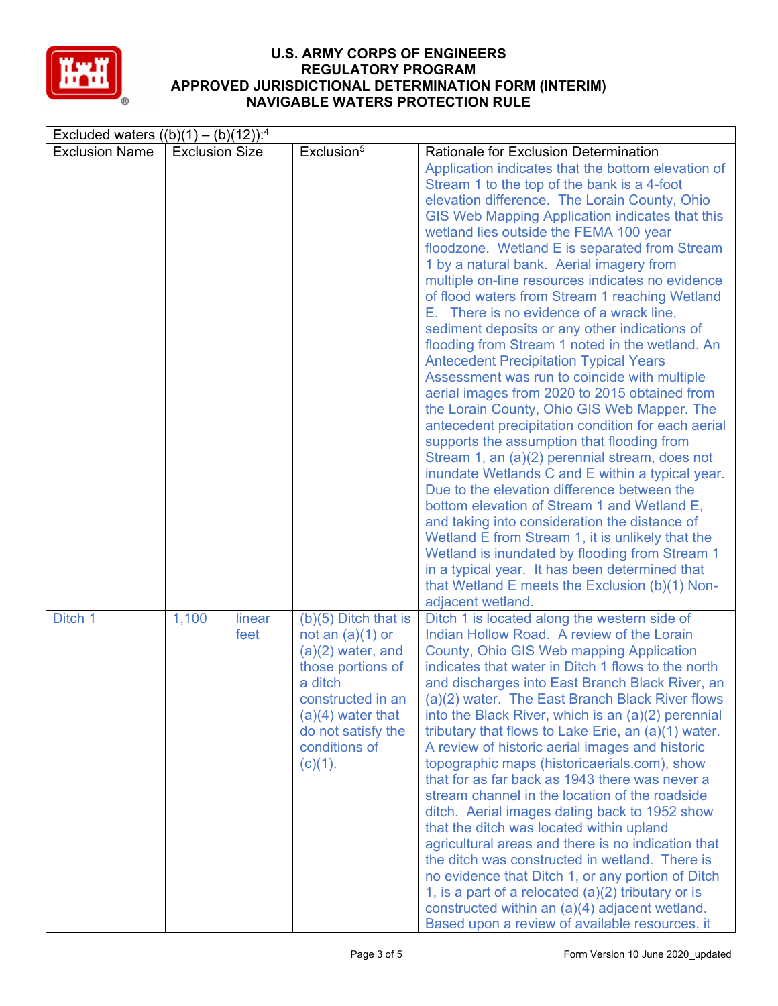

| Excluded waters $((b)(1) - (b)(12))$ : <sup>4</sup> |                       |                |                                                                                                                                                                                                      |                                                                                                                                                                                                                                                                                                                                                                                                                                                                                                                                                                                                                                                                                                                                                                                                                                                                                                                                                                                                                                                                                                                                                                                                                                                                                                                                                                                             |  |  |  |  |
|-----------------------------------------------------|-----------------------|----------------|------------------------------------------------------------------------------------------------------------------------------------------------------------------------------------------------------|---------------------------------------------------------------------------------------------------------------------------------------------------------------------------------------------------------------------------------------------------------------------------------------------------------------------------------------------------------------------------------------------------------------------------------------------------------------------------------------------------------------------------------------------------------------------------------------------------------------------------------------------------------------------------------------------------------------------------------------------------------------------------------------------------------------------------------------------------------------------------------------------------------------------------------------------------------------------------------------------------------------------------------------------------------------------------------------------------------------------------------------------------------------------------------------------------------------------------------------------------------------------------------------------------------------------------------------------------------------------------------------------|--|--|--|--|
| <b>Exclusion Name</b>                               | <b>Exclusion Size</b> |                | Exclusion <sup>5</sup>                                                                                                                                                                               | Rationale for Exclusion Determination                                                                                                                                                                                                                                                                                                                                                                                                                                                                                                                                                                                                                                                                                                                                                                                                                                                                                                                                                                                                                                                                                                                                                                                                                                                                                                                                                       |  |  |  |  |
|                                                     |                       |                |                                                                                                                                                                                                      | Application indicates that the bottom elevation of<br>Stream 1 to the top of the bank is a 4-foot<br>elevation difference. The Lorain County, Ohio<br>GIS Web Mapping Application indicates that this<br>wetland lies outside the FEMA 100 year<br>floodzone. Wetland E is separated from Stream<br>1 by a natural bank. Aerial imagery from<br>multiple on-line resources indicates no evidence<br>of flood waters from Stream 1 reaching Wetland<br>E. There is no evidence of a wrack line,<br>sediment deposits or any other indications of<br>flooding from Stream 1 noted in the wetland. An<br><b>Antecedent Precipitation Typical Years</b><br>Assessment was run to coincide with multiple<br>aerial images from 2020 to 2015 obtained from<br>the Lorain County, Ohio GIS Web Mapper. The<br>antecedent precipitation condition for each aerial<br>supports the assumption that flooding from<br>Stream 1, an (a)(2) perennial stream, does not<br>inundate Wetlands C and E within a typical year.<br>Due to the elevation difference between the<br>bottom elevation of Stream 1 and Wetland E,<br>and taking into consideration the distance of<br>Wetland E from Stream 1, it is unlikely that the<br>Wetland is inundated by flooding from Stream 1<br>in a typical year. It has been determined that<br>that Wetland E meets the Exclusion (b)(1) Non-<br>adjacent wetland. |  |  |  |  |
| Ditch 1                                             | 1,100                 | linear<br>feet | $(b)(5)$ Ditch that is<br>not an $(a)(1)$ or<br>$(a)(2)$ water, and<br>those portions of<br>a ditch<br>constructed in an<br>$(a)(4)$ water that<br>do not satisfy the<br>conditions of<br>$(c)(1)$ . | Ditch 1 is located along the western side of<br>Indian Hollow Road. A review of the Lorain<br>County, Ohio GIS Web mapping Application<br>indicates that water in Ditch 1 flows to the north<br>and discharges into East Branch Black River, an<br>(a)(2) water. The East Branch Black River flows<br>into the Black River, which is an (a)(2) perennial<br>tributary that flows to Lake Erie, an (a)(1) water.<br>A review of historic aerial images and historic<br>topographic maps (historicaerials.com), show<br>that for as far back as 1943 there was never a<br>stream channel in the location of the roadside<br>ditch. Aerial images dating back to 1952 show<br>that the ditch was located within upland<br>agricultural areas and there is no indication that<br>the ditch was constructed in wetland. There is<br>no evidence that Ditch 1, or any portion of Ditch<br>1, is a part of a relocated $(a)(2)$ tributary or is<br>constructed within an (a)(4) adjacent wetland.<br>Based upon a review of available resources, it                                                                                                                                                                                                                                                                                                                                                |  |  |  |  |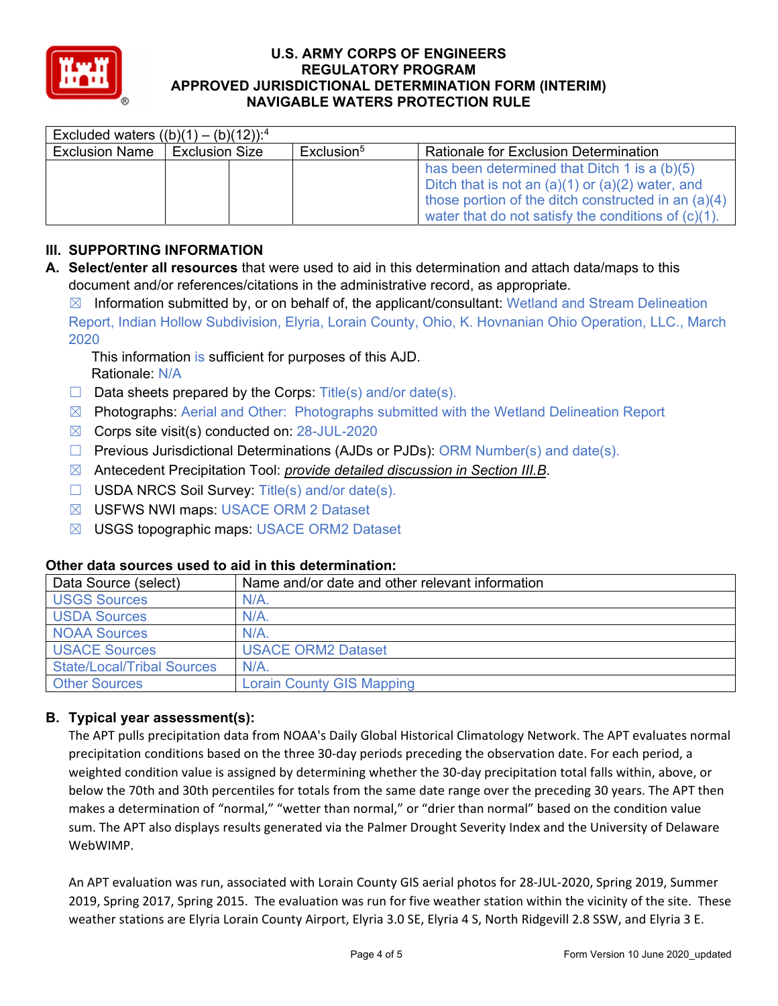

| Excluded waters $((b)(1) - (b)(12))$ : <sup>4</sup> |                       |  |                        |                                                                                                                                                                                                                       |  |  |  |  |
|-----------------------------------------------------|-----------------------|--|------------------------|-----------------------------------------------------------------------------------------------------------------------------------------------------------------------------------------------------------------------|--|--|--|--|
| <b>Exclusion Name</b>                               | <b>Exclusion Size</b> |  | Exclusion <sup>5</sup> | <b>Rationale for Exclusion Determination</b>                                                                                                                                                                          |  |  |  |  |
|                                                     |                       |  |                        | has been determined that Ditch 1 is a (b)(5)<br>Ditch that is not an $(a)(1)$ or $(a)(2)$ water, and<br>those portion of the ditch constructed in an (a)(4)<br>water that do not satisfy the conditions of $(c)(1)$ . |  |  |  |  |

# **III. SUPPORTING INFORMATION**

**A. Select/enter all resources** that were used to aid in this determination and attach data/maps to this document and/or references/citations in the administrative record, as appropriate.

 $\boxtimes$  Information submitted by, or on behalf of, the applicant/consultant: Wetland and Stream Delineation Report, Indian Hollow Subdivision, Elyria, Lorain County, Ohio, K. Hovnanian Ohio Operation, LLC., March 2020

This information is sufficient for purposes of this AJD. Rationale: N/A

- $\Box$  Data sheets prepared by the Corps: Title(s) and/or date(s).
- ☒ Photographs: Aerial and Other: Photographs submitted with the Wetland Delineation Report
- $\boxtimes$  Corps site visit(s) conducted on: 28-JUL-2020
- $\Box$  Previous Jurisdictional Determinations (AJDs or PJDs): ORM Number(s) and date(s).
- ☒ Antecedent Precipitation Tool: *provide detailed discussion in Section III.B*.
- ☐ USDA NRCS Soil Survey: Title(s) and/or date(s).
- ☒ USFWS NWI maps: USACE ORM 2 Dataset
- ☒ USGS topographic maps: USACE ORM2 Dataset

### **Other data sources used to aid in this determination:**

| Data Source (select)              | Name and/or date and other relevant information |
|-----------------------------------|-------------------------------------------------|
| <b>USGS Sources</b>               | N/A                                             |
| <b>USDA Sources</b>               | N/A                                             |
| <b>NOAA Sources</b>               | N/A                                             |
| <b>USACE Sources</b>              | <b>USACE ORM2 Dataset</b>                       |
| <b>State/Local/Tribal Sources</b> | N/A                                             |
| <b>Other Sources</b>              | <b>Lorain County GIS Mapping</b>                |

### **B. Typical year assessment(s):**

The APT pulls precipitation data from NOAA's Daily Global Historical Climatology Network. The APT evaluates normal precipitation conditions based on the three 30‐day periods preceding the observation date. For each period, a weighted condition value is assigned by determining whether the 30-day precipitation total falls within, above, or below the 70th and 30th percentiles for totals from the same date range over the preceding 30 years. The APT then makes a determination of "normal," "wetter than normal," or "drier than normal" based on the condition value sum. The APT also displays results generated via the Palmer Drought Severity Index and the University of Delaware WebWIMP.

An APT evaluation was run, associated with Lorain County GIS aerial photos for 28‐JUL‐2020, Spring 2019, Summer 2019, Spring 2017, Spring 2015. The evaluation was run for five weather station within the vicinity of the site. These weather stations are Elyria Lorain County Airport, Elyria 3.0 SE, Elyria 4 S, North Ridgevill 2.8 SSW, and Elyria 3 E.